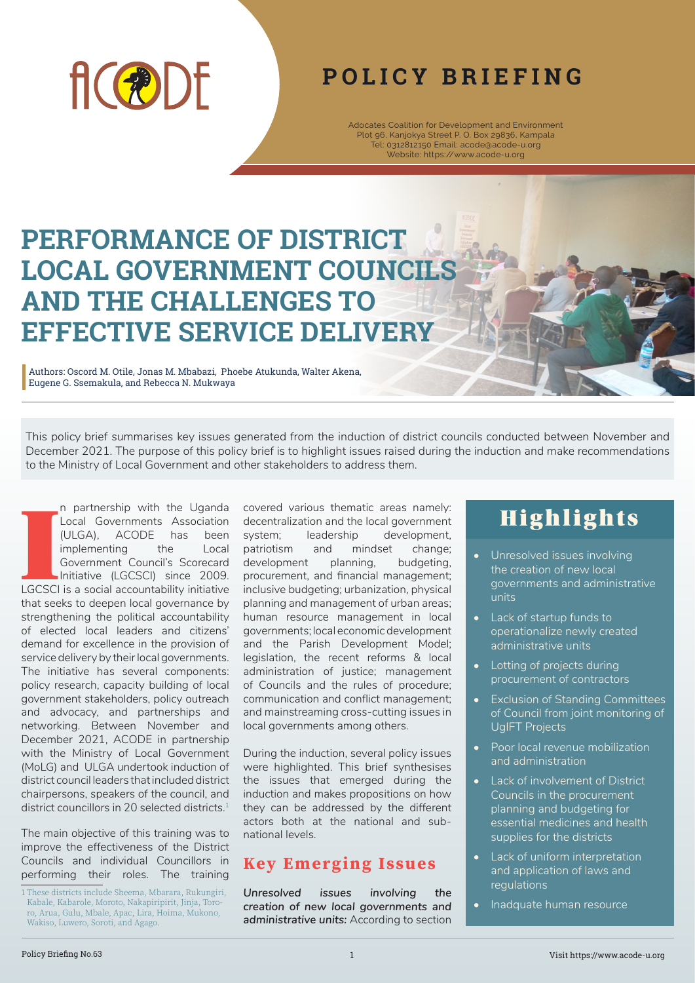

## **POLICY BRIEFING**

Adocates Coalition for Development and Environment Plot 96, Kanjokya Street P. O. Box 29836, Kampala Tel: 0312812150 Email: acode@acode-u.org Website: https://www.acode-u.org

# **PERFORMANCE OF DISTRICT LOCAL GOVERNMENT COUNCILS AND THE CHALLENGES TO EFFECTIVE SERVICE DELIVERY**

Authors: Oscord M. Otile, Jonas M. Mbabazi, Phoebe Atukunda, Walter Akena, Eugene G. Ssemakula, and Rebecca N. Mukwaya

This policy brief summarises key issues generated from the induction of district councils conducted between November and December 2021. The purpose of this policy brief is to highlight issues raised during the induction and make recommendations to the Ministry of Local Government and other stakeholders to address them.

I n partnership with the Uganda Local Governments Association (ULGA), ACODE has been implementing the Local Government Council's Scorecard Initiative (LGCSCI) since 2009. LGCSCI is a social accountability initiative that seeks to deepen local governance by strengthening the political accountability of elected local leaders and citizens' demand for excellence in the provision of service delivery by their local governments. The initiative has several components: policy research, capacity building of local government stakeholders, policy outreach and advocacy, and partnerships and networking. Between November and December 2021, ACODE in partnership with the Ministry of Local Government (MoLG) and ULGA undertook induction of district council leaders that included district chairpersons, speakers of the council, and district councillors in 20 selected districts.<sup>1</sup>

The main objective of this training was to improve the effectiveness of the District Councils and individual Councillors in performing their roles. The training

covered various thematic areas namely: decentralization and the local government system; leadership development, patriotism and mindset change; development planning, budgeting, procurement, and financial management; inclusive budgeting; urbanization, physical planning and management of urban areas; human resource management in local governments; local economic development and the Parish Development Model; legislation, the recent reforms & local administration of justice; management of Councils and the rules of procedure; communication and conflict management; and mainstreaming cross-cutting issues in local governments among others.

During the induction, several policy issues were highlighted. This brief synthesises the issues that emerged during the induction and makes propositions on how they can be addressed by the different actors both at the national and subnational levels.

### **Key Emerging Issues**

*Unresolved issues involving the creation of new local governments and administrative units:* According to section

## **Highlights**

- Unresolved issues involving the creation of new local governments and administrative units
- Lack of startup funds to operationalize newly created administrative units
- Lotting of projects during procurement of contractors
- Exclusion of Standing Committees of Council from joint monitoring of UgIFT Projects
- Poor local revenue mobilization and administration
- Lack of involvement of District Councils in the procurement planning and budgeting for essential medicines and health supplies for the districts
- **Lack of uniform interpretation** and application of laws and regulations
- Inadquate human resource

<sup>1</sup> These districts include Sheema, Mbarara, Rukungiri, Kabale, Kabarole, Moroto, Nakapiripirit, Jinja, Tororo, Arua, Gulu, Mbale, Apac, Lira, Hoima, Mukono, Wakiso, Luwero, Soroti, and Agago.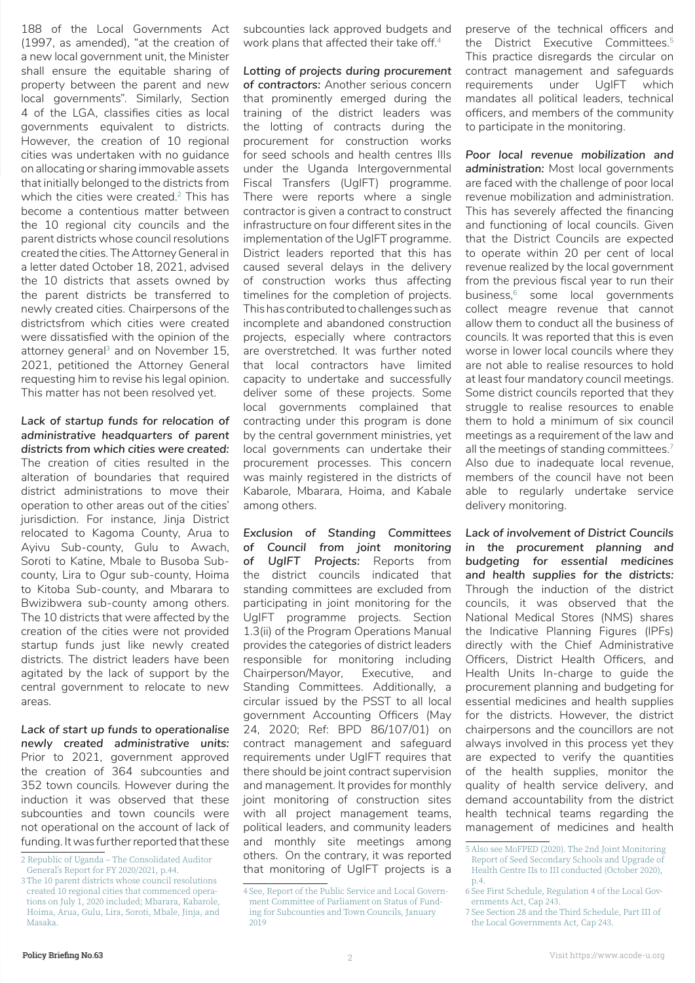188 of the Local Governments Act (1997, as amended), "at the creation of a new local government unit, the Minister shall ensure the equitable sharing of property between the parent and new local governments". Similarly, Section 4 of the LGA, classifies cities as local governments equivalent to districts. However, the creation of 10 regional cities was undertaken with no guidance on allocating or sharing immovable assets that initially belonged to the districts from which the cities were created.<sup>2</sup> This has become a contentious matter between the 10 regional city councils and the parent districts whose council resolutions created the cities. The Attorney General in a letter dated October 18, 2021, advised the 10 districts that assets owned by the parent districts be transferred to newly created cities. Chairpersons of the districtsfrom which cities were created were dissatisfied with the opinion of the attorney general<sup>3</sup> and on November 15, 2021, petitioned the Attorney General requesting him to revise his legal opinion. This matter has not been resolved yet.

*Lack of startup funds for relocation of administrative headquarters of parent districts from which cities were created:* The creation of cities resulted in the alteration of boundaries that required district administrations to move their operation to other areas out of the cities' jurisdiction. For instance, Jinja District relocated to Kagoma County, Arua to Ayivu Sub-county, Gulu to Awach, Soroti to Katine, Mbale to Busoba Subcounty, Lira to Ogur sub-county, Hoima to Kitoba Sub-county, and Mbarara to Bwizibwera sub-county among others. The 10 districts that were affected by the creation of the cities were not provided startup funds just like newly created districts. The district leaders have been agitated by the lack of support by the central government to relocate to new areas.

*Lack of start up funds to operationalise newly created administrative units:* Prior to 2021, government approved the creation of 364 subcounties and 352 town councils. However during the induction it was observed that these subcounties and town councils were not operational on the account of lack of funding. It was further reported that these

subcounties lack approved budgets and work plans that affected their take off.<sup>4</sup>

*Lotting of projects during procurement of contractors:* Another serious concern that prominently emerged during the training of the district leaders was the lotting of contracts during the procurement for construction works for seed schools and health centres IIIs under the Uganda Intergovernmental Fiscal Transfers (UgIFT) programme. There were reports where a single contractor is given a contract to construct infrastructure on four different sites in the implementation of the UgIFT programme. District leaders reported that this has caused several delays in the delivery of construction works thus affecting timelines for the completion of projects. This has contributed to challenges such as incomplete and abandoned construction projects, especially where contractors are overstretched. It was further noted that local contractors have limited capacity to undertake and successfully deliver some of these projects. Some local governments complained that contracting under this program is done by the central government ministries, yet local governments can undertake their procurement processes. This concern was mainly registered in the districts of Kabarole, Mbarara, Hoima, and Kabale among others.

*Exclusion of Standing Committees of Council from joint monitoring of UgIFT Projects:* Reports from the district councils indicated that standing committees are excluded from participating in joint monitoring for the UgIFT programme projects. Section 1.3(ii) of the Program Operations Manual provides the categories of district leaders responsible for monitoring including Chairperson/Mayor, Executive, and Standing Committees. Additionally, a circular issued by the PSST to all local government Accounting Officers (May 24, 2020; Ref: BPD 86/107/01) on contract management and safeguard requirements under UgIFT requires that there should be joint contract supervision and management. It provides for monthly joint monitoring of construction sites with all project management teams, political leaders, and community leaders and monthly site meetings among others. On the contrary, it was reported that monitoring of UgIFT projects is a preserve of the technical officers and the District Executive Committees.<sup>5</sup> This practice disregards the circular on contract management and safeguards requirements under UgIFT which mandates all political leaders, technical officers, and members of the community to participate in the monitoring.

*Poor local revenue mobilization and administration:* Most local governments are faced with the challenge of poor local revenue mobilization and administration. This has severely affected the financing and functioning of local councils. Given that the District Councils are expected to operate within 20 per cent of local revenue realized by the local government from the previous fiscal year to run their business,6 some local governments collect meagre revenue that cannot allow them to conduct all the business of councils. It was reported that this is even worse in lower local councils where they are not able to realise resources to hold at least four mandatory council meetings. Some district councils reported that they struggle to realise resources to enable them to hold a minimum of six council meetings as a requirement of the law and all the meetings of standing committees.<sup>7</sup> Also due to inadequate local revenue, members of the council have not been able to regularly undertake service delivery monitoring.

*Lack of involvement of District Councils in the procurement planning and budgeting for essential medicines and health supplies for the districts:* Through the induction of the district councils, it was observed that the National Medical Stores (NMS) shares the Indicative Planning Figures (IPFs) directly with the Chief Administrative Officers, District Health Officers, and Health Units In-charge to guide the procurement planning and budgeting for essential medicines and health supplies for the districts. However, the district chairpersons and the councillors are not always involved in this process yet they are expected to verify the quantities of the health supplies, monitor the quality of health service delivery, and demand accountability from the district health technical teams regarding the management of medicines and health

<sup>2</sup> Republic of Uganda – The Consolidated Auditor General's Report for FY 2020/2021, p.44.

<sup>3</sup> The 10 parent districts whose council resolutions created 10 regional cities that commenced operations on July 1, 2020 included; Mbarara, Kabarole, Hoima, Arua, Gulu, Lira, Soroti, Mbale, Jinja, and Masaka.

<sup>4</sup> See, Report of the Public Service and Local Government Committee of Parliament on Status of Funding for Subcounties and Town Councils, January 2019

<sup>5</sup> Also see MoFPED (2020). The 2nd Joint Monitoring Report of Seed Secondary Schools and Upgrade of Health Centre IIs to III conducted (October 2020), p.4.

<sup>6</sup> See First Schedule, Regulation 4 of the Local Governments Act, Cap 243.

<sup>7</sup> See Section 28 and the Third Schedule, Part III of the Local Governments Act, Cap 243.